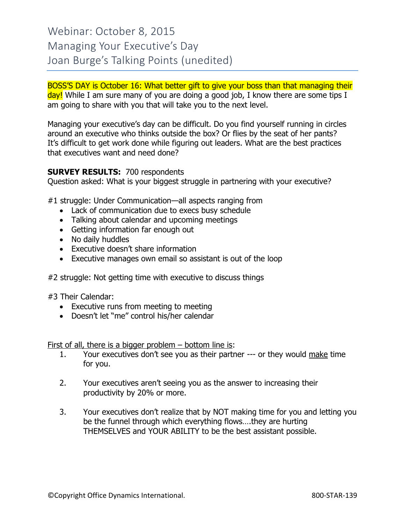Webinar: October 8, 2015 Managing Your Executive's Day Joan Burge's Talking Points (unedited)

BOSS'S DAY is October 16: What better gift to give your boss than that managing their day! While I am sure many of you are doing a good job, I know there are some tips I am going to share with you that will take you to the next level.

Managing your executive's day can be difficult. Do you find yourself running in circles around an executive who thinks outside the box? Or flies by the seat of her pants? It's difficult to get work done while figuring out leaders. What are the best practices that executives want and need done?

## **SURVEY RESULTS:** 700 respondents

Question asked: What is your biggest struggle in partnering with your executive?

#1 struggle: Under Communication—all aspects ranging from

- Lack of communication due to execs busy schedule
- Talking about calendar and upcoming meetings
- Getting information far enough out
- No daily huddles
- Executive doesn't share information
- Executive manages own email so assistant is out of the loop

#2 struggle: Not getting time with executive to discuss things

#3 Their Calendar:

- Executive runs from meeting to meeting
- Doesn't let "me" control his/her calendar

First of all, there is a bigger problem – bottom line is:

- 1. Your executives don't see you as their partner --- or they would make time for you.
- 2. Your executives aren't seeing you as the answer to increasing their productivity by 20% or more.
- 3. Your executives don't realize that by NOT making time for you and letting you be the funnel through which everything flows….they are hurting THEMSELVES and YOUR ABILITY to be the best assistant possible.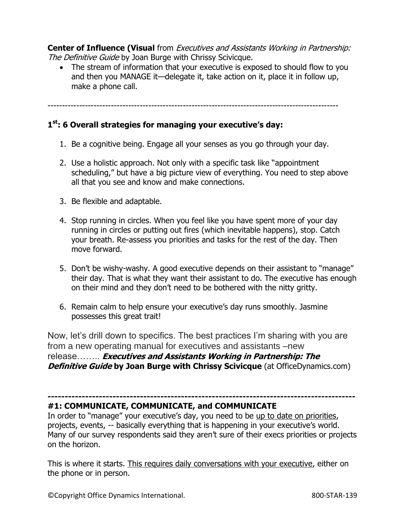**Center of Influence (Visual** from Executives and Assistants Working in Partnership: The Definitive Guide by Joan Burge with Chrissy Scivicque.

• The stream of information that your executive is exposed to should flow to you and then you MANAGE it—delegate it, take action on it, place it in follow up, make a phone call.

-----------------------------------------------------------------------------------------------------

# **1 st: 6 Overall strategies for managing your executive's day:**

- 1. Be a cognitive being. Engage all your senses as you go through your day.
- 2. Use a holistic approach. Not only with a specific task like "appointment scheduling," but have a big picture view of everything. You need to step above all that you see and know and make connections.
- 3. Be flexible and adaptable.
- 4. Stop running in circles. When you feel like you have spent more of your day running in circles or putting out fires (which inevitable happens), stop. Catch your breath. Re-assess you priorities and tasks for the rest of the day. Then move forward.
- 5. Don't be wishy-washy. A good executive depends on their assistant to "manage" their day. That is what they want their assistant to do. The executive has enough on their mind and they don't need to be bothered with the nitty gritty.
- 6. Remain calm to help ensure your executive's day runs smoothly. Jasmine possesses this great trait!

Now, let's drill down to specifics. The best practices I'm sharing with you are from a new operating manual for executives and assistants –new release…….. **Executives and Assistants Working in Partnership: The Definitive Guide by Joan Burge with Chrissy Scivicque** (at OfficeDynamics.com)

### **------------------------------------------------------------------------------------------**

### **#1: COMMUNICATE, COMMUNICATE, and COMMUNICATE**

In order to "manage" your executive's day, you need to be up to date on priorities, projects, events, -- basically everything that is happening in your executive's world. Many of our survey respondents said they aren't sure of their execs priorities or projects on the horizon.

This is where it starts. This requires daily conversations with your executive, either on the phone or in person.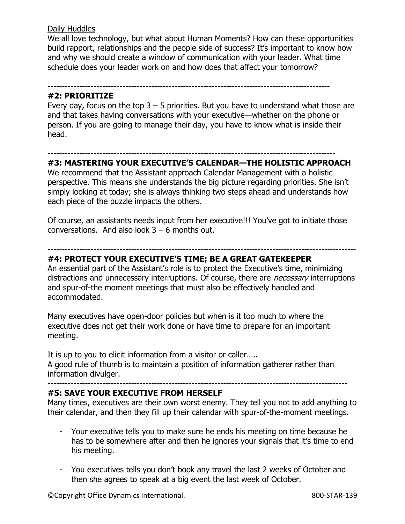### Daily Huddles

We all love technology, but what about Human Moments? How can these opportunities build rapport, relationships and the people side of success? It's important to know how and why we should create a window of communication with your leader. What time schedule does your leader work on and how does that affect your tomorrow?

#### --------------------------------------------------------------------------------------------------

#### **#2: PRIORITIZE**

Every day, focus on the top  $3 - 5$  priorities. But you have to understand what those are and that takes having conversations with your executive—whether on the phone or person. If you are going to manage their day, you have to know what is inside their head.

# ----------------------------------------------------------------------------------------------------

**#3: MASTERING YOUR EXECUTIVE'S CALENDAR—THE HOLISTIC APPROACH** We recommend that the Assistant approach Calendar Management with a holistic perspective. This means she understands the big picture regarding priorities. She isn't simply looking at today; she is always thinking two steps ahead and understands how each piece of the puzzle impacts the others.

Of course, an assistants needs input from her executive!!! You've got to initiate those conversations. And also look 3 – 6 months out.

#### ----------------------------------------------------------------------------------------------------------- **#4: PROTECT YOUR EXECUTIVE'S TIME; BE A GREAT GATEKEEPER**

An essential part of the Assistant's role is to protect the Executive's time, minimizing distractions and unnecessary interruptions. Of course, there are *necessary* interruptions and spur-of-the moment meetings that must also be effectively handled and accommodated.

Many executives have open-door policies but when is it too much to where the executive does not get their work done or have time to prepare for an important meeting.

It is up to you to elicit information from a visitor or caller….. A good rule of thumb is to maintain a position of information gatherer rather than information divulger.

#### --------------------------------------------------------------------------------------------------------

## **#5: SAVE YOUR EXECUTIVE FROM HERSELF**

Many times, executives are their own worst enemy. They tell you not to add anything to their calendar, and then they fill up their calendar with spur-of-the-moment meetings.

- Your executive tells you to make sure he ends his meeting on time because he has to be somewhere after and then he ignores your signals that it's time to end his meeting.
- You executives tells you don't book any travel the last 2 weeks of October and then she agrees to speak at a big event the last week of October.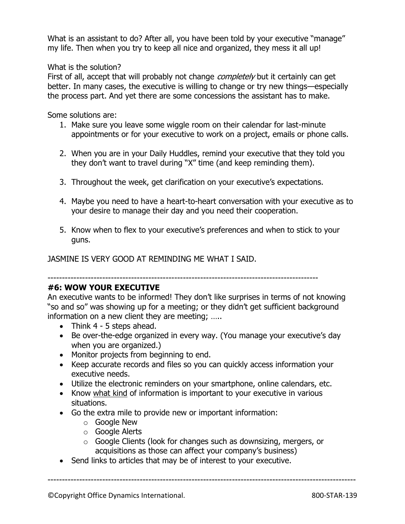What is an assistant to do? After all, you have been told by your executive "manage" my life. Then when you try to keep all nice and organized, they mess it all up!

What is the solution?

First of all, accept that will probably not change *completely* but it certainly can get better. In many cases, the executive is willing to change or try new things—especially the process part. And yet there are some concessions the assistant has to make.

Some solutions are:

- 1. Make sure you leave some wiggle room on their calendar for last-minute appointments or for your executive to work on a project, emails or phone calls.
- 2. When you are in your Daily Huddles, remind your executive that they told you they don't want to travel during "X" time (and keep reminding them).
- 3. Throughout the week, get clarification on your executive's expectations.
- 4. Maybe you need to have a heart-to-heart conversation with your executive as to your desire to manage their day and you need their cooperation.
- 5. Know when to flex to your executive's preferences and when to stick to your guns.

JASMINE IS VERY GOOD AT REMINDING ME WHAT I SAID.

----------------------------------------------------------------------------------------------

# **#6: WOW YOUR EXECUTIVE**

An executive wants to be informed! They don't like surprises in terms of not knowing "so and so" was showing up for a meeting; or they didn't get sufficient background information on a new client they are meeting; …..

- Think 4 5 steps ahead.
- Be over-the-edge organized in every way. (You manage your executive's day when you are organized.)
- Monitor projects from beginning to end.
- Keep accurate records and files so you can quickly access information your executive needs.
- Utilize the electronic reminders on your smartphone, online calendars, etc.
- Know what kind of information is important to your executive in various situations.
- Go the extra mile to provide new or important information:
	- o Google New
	- o Google Alerts
	- o Google Clients (look for changes such as downsizing, mergers, or acquisitions as those can affect your company's business)
- Send links to articles that may be of interest to your executive.

-----------------------------------------------------------------------------------------------------------